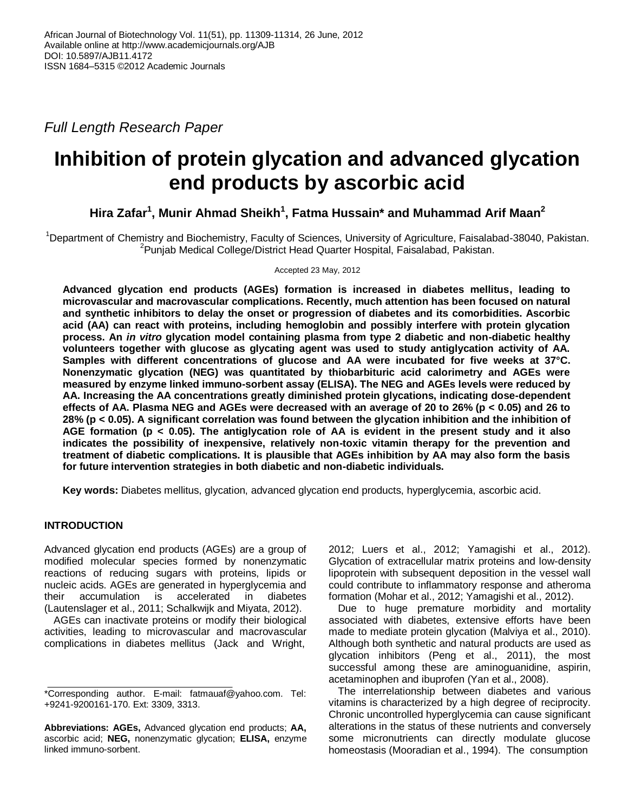*Full Length Research Paper*

# **Inhibition of protein glycation and advanced glycation end products by ascorbic acid**

**Hira Zafar<sup>1</sup> , Munir Ahmad Sheikh<sup>1</sup> , Fatma Hussain\* and Muhammad Arif Maan<sup>2</sup>**

<sup>1</sup>Department of Chemistry and Biochemistry, Faculty of Sciences, University of Agriculture, Faisalabad-38040, Pakistan. <sup>2</sup>Punjab Medical College/District Head Quarter Hospital, Faisalabad, Pakistan.

Accepted 23 May, 2012

**Advanced glycation end products (AGEs) formation is increased in diabetes mellitus, leading to microvascular and macrovascular complications. Recently, much attention has been focused on natural and synthetic inhibitors to delay the onset or progression of diabetes and its comorbidities. Ascorbic acid (AA) can react with proteins, including hemoglobin and possibly interfere with protein glycation process. An** *in vitro* **glycation model containing plasma from type 2 diabetic and non-diabetic healthy volunteers together with glucose as glycating agent was used to study antiglycation activity of AA. Samples with different concentrations of glucose and AA were incubated for five weeks at 37°C. Nonenzymatic glycation (NEG) was quantitated by thiobarbituric acid calorimetry and AGEs were measured by enzyme linked immuno-sorbent assay (ELISA). The NEG and AGEs levels were reduced by AA. Increasing the AA concentrations greatly diminished protein glycations, indicating dose-dependent effects of AA. Plasma NEG and AGEs were decreased with an average of 20 to 26% (p < 0.05) and 26 to 28% (p < 0.05). A significant correlation was found between the glycation inhibition and the inhibition of AGE formation (p < 0.05). The antiglycation role of AA is evident in the present study and it also indicates the possibility of inexpensive, relatively non-toxic vitamin therapy for the prevention and treatment of diabetic complications. It is plausible that AGEs inhibition by AA may also form the basis for future intervention strategies in both diabetic and non-diabetic individuals.**

**Key words:** Diabetes mellitus, glycation, advanced glycation end products, hyperglycemia, ascorbic acid.

## **INTRODUCTION**

Advanced glycation end products (AGEs) are a group of modified molecular species formed by nonenzymatic reactions of reducing sugars with proteins, lipids or nucleic acids. AGEs are generated in hyperglycemia and their accumulation is accelerated in diabetes (Lautenslager et al., 2011; [Schalkwijk and Miyata, 2012\)](http://www.ncbi.nlm.nih.gov/pubmed?term=%22Schalkwijk%20CG%22%5BAuthor%5D).

AGEs can inactivate proteins or modify their biological activities, leading to microvascular and macrovascular complications in diabetes mellitus [\(Jack and](http://www.ncbi.nlm.nih.gov/pubmed?term=%22Jack%20M%22%5BAuthor%5D) [Wright,](http://www.ncbi.nlm.nih.gov/pubmed?term=%22Wright%20D%22%5BAuthor%5D)  2012; Luers et al., 2012; [Yamagishi et al., 2012\).](http://www.ncbi.nlm.nih.gov/pubmed?term=%22Yamagishi%20S%22%5BAuthor%5D) Glycation of extracellular matrix proteins and low-density lipoprotein with subsequent deposition in the vessel wall could contribute to inflammatory response and atheroma formation [\(Mohar et al., 2012; Y](http://www.ncbi.nlm.nih.gov/pubmed?term=%22Mohar%20DS%22%5BAuthor%5D)amagishi et al., 2012).

Due to huge premature morbidity and mortality associated with diabetes, extensive efforts have been made to mediate protein glycation (Malviya [et al., 2010\)](http://www.ncbi.nlm.nih.gov/pubmed?term=%22Malviya%20N%22%5BAuthor%5D). Although both synthetic and natural products are used as glycation inhibitors [\(Peng et al., 2011\), th](http://www.ncbi.nlm.nih.gov/pubmed?term=%22Peng%20X%22%5BAuthor%5D)e most successful among these are aminoguanidine, aspirin, acetaminophen and ibuprofen (Yan et al., 2008).

The interrelationship between diabetes and various vitamins is characterized by a high degree of reciprocity. Chronic uncontrolled hyperglycemia can cause significant alterations in the status of these nutrients and conversely some micronutrients can directly modulate glucose homeostasis (Mooradian et al., 1994). The consumption

<sup>\*</sup>Corresponding author. E-mail: fatmauaf@yahoo.com. Tel: +9241-9200161-170. Ext: 3309, 3313.

**Abbreviations: AGEs,** Advanced glycation end products; **AA,** ascorbic acid; **NEG,** nonenzymatic glycation; **ELISA,** enzyme linked immuno-sorbent.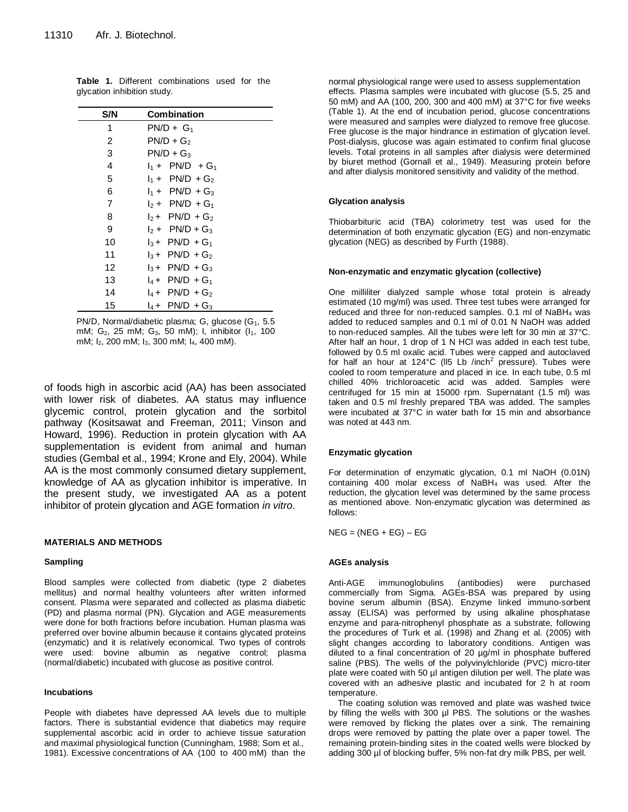| S/N | <b>Combination</b>            |
|-----|-------------------------------|
| 1   | $PN/D + G_1$                  |
| 2   | $PN/D + G_2$                  |
| 3   | $PN/D + G_3$                  |
| 4   | $I_1 + PN/D + G_1$            |
| 5   | $I_1 + PN/D + G_2$            |
| 6   | $I_1 + PN/D + G_3$            |
| 7   | $1.5 + PN/D + G_1$            |
| 8   | $I_2$ + PN/D + G <sub>2</sub> |
| 9   | $1.5 + PN/D + G_3$            |
| 10  | $I_3$ + PN/D + G <sub>1</sub> |
| 11  | $13$ + PN/D + G <sub>2</sub>  |
| 12  | $I_3$ + PN/D + G <sub>3</sub> |
| 13  | $I_4$ + PN/D + G <sub>1</sub> |
| 14  | $I_4$ + PN/D + G <sub>2</sub> |
| 15  | $I_4$ + PN/D + G <sub>3</sub> |

**Table 1.** Different combinations used for the glycation inhibition study.

PN/D, Normal/diabetic plasma; G, glucose (G<sub>1</sub>, 5.5) mM;  $G_2$ , 25 mM;  $G_3$ , 50 mM); I, inhibitor ( $I_1$ , 100 mM; I2, 200 mM; I3, 300 mM; I4, 400 mM).

of foods high in ascorbic acid (AA) has been associated with lower risk of diabetes. AA status may influence glycemic control, protein glycation and the sorbitol pathway [\(Kositsawat and Freeman, 2011;](http://www.ncbi.nlm.nih.gov/pubmed?term=%22Kositsawat%20J%22%5BAuthor%5D) Vinson and Howard, 1996). Reduction in protein glycation with AA supplementation is evident from animal and human studies [\(Gembal](http://www.springerlink.com/content/?Author=M.+Gembal) et al., 1994; [Krone and Ely, 2004\).](http://www.ncbi.nlm.nih.gov/pubmed?term=%22Krone%20CA%22%5BAuthor%5D) While AA is the most commonly consumed dietary supplement, knowledge of AA as glycation inhibitor is imperative. In the present study, we investigated AA as a potent inhibitor of protein glycation and AGE formation *in vitro*.

#### **MATERIALS AND METHODS**

#### **Sampling**

Blood samples were collected from diabetic (type 2 diabetes mellitus) and normal healthy volunteers after written informed consent. Plasma were separated and collected as plasma diabetic (PD) and plasma normal (PN). Glycation and AGE measurements were done for both fractions before incubation. Human plasma was preferred over bovine albumin because it contains glycated proteins (enzymatic) and it is relatively economical. Two types of controls were used: bovine albumin as negative control; plasma (normal/diabetic) incubated with glucose as positive control.

#### **Incubations**

People with diabetes have depressed AA levels due to multiple factors. There is substantial evidence that diabetics may require supplemental ascorbic acid in order to achieve tissue saturation and maximal physiological function (Cunningham, 1988; Som et al., 1981). Excessive concentrations of AA (100 to 400 mM) than the

normal physiological range were used to assess supplementation effects. Plasma samples were incubated with glucose (5.5, 25 and 50 mM) and AA (100, 200, 300 and 400 mM) at 37°C for five weeks (Table 1). At the end of incubation period, glucose concentrations were measured and samples were dialyzed to remove free glucose. Free glucose is the major hindrance in estimation of glycation level. Post-dialysis, glucose was again estimated to confirm final glucose levels. Total proteins in all samples after dialysis were determined by biuret method (Gornall et al., 1949). Measuring protein before and after dialysis monitored sensitivity and validity of the method.

#### **Glycation analysis**

Thiobarbituric acid (TBA) colorimetry test was used for the determination of both enzymatic glycation (EG) and non-enzymatic glycation (NEG) as described by Furth (1988).

#### **Non-enzymatic and enzymatic glycation (collective)**

One milliliter dialyzed sample whose total protein is already estimated (10 mg/ml) was used. Three test tubes were arranged for reduced and three for non-reduced samples. 0.1 ml of NaBH<sub>4</sub> was added to reduced samples and 0.1 ml of 0.01 N NaOH was added to non-reduced samples. All the tubes were left for 30 min at 37°C. After half an hour, 1 drop of 1 N HCl was added in each test tube, followed by 0.5 ml oxalic acid. Tubes were capped and autoclaved for half an hour at 124°C (II5 Lb /inch<sup>2</sup> pressure). Tubes were cooled to room temperature and placed in ice. In each tube, 0.5 ml chilled 40% trichloroacetic acid was added. Samples were centrifuged for 15 min at 15000 rpm. Supernatant (1.5 ml) was taken and 0.5 ml freshly prepared TBA was added. The samples were incubated at 37°C in water bath for 15 min and absorbance was noted at 443 nm.

#### **Enzymatic glycation**

For determination of enzymatic glycation, 0.1 ml NaOH (0.01N) containing 400 molar excess of  $N$ aBH<sub>4</sub> was used. After the reduction, the glycation level was determined by the same process as mentioned above. Non-enzymatic glycation was determined as follows:

 $NEG = (NEG + EG) - EG$ 

#### **AGEs analysis**

Anti-AGE immunoglobulins (antibodies) were purchased commercially from Sigma. AGEs-BSA was prepared by using bovine serum albumin (BSA). Enzyme linked immuno-sorbent assay (ELISA) was performed by using alkaline phosphatase enzyme and para-nitrophenyl phosphate as a substrate, following the procedures of [Turk](http://www.ncbi.nlm.nih.gov/entrez/query.fcgi?db=pubmed&cmd=Search&itool=pubmed_AbstractPlus&term=%22Turk+Z%22%5BAuthor%5D) et al. (1998) and Zhang et al. (2005) with slight changes according to laboratory conditions. Antigen was diluted to a final concentration of 20 µg/ml in phosphate buffered saline (PBS). The wells of the polyvinylchloride (PVC) micro-titer plate were coated with 50 µl antigen dilution per well. The plate was covered with an adhesive plastic and incubated for 2 h at room temperature.

The coating solution was removed and plate was washed twice by filling the wells with 300 µl PBS. The solutions or the washes were removed by flicking the plates over a sink. The remaining drops were removed by patting the plate over a paper towel. The remaining protein-binding sites in the coated wells were blocked by adding 300 µl of blocking buffer, 5% non-fat dry milk PBS, per well.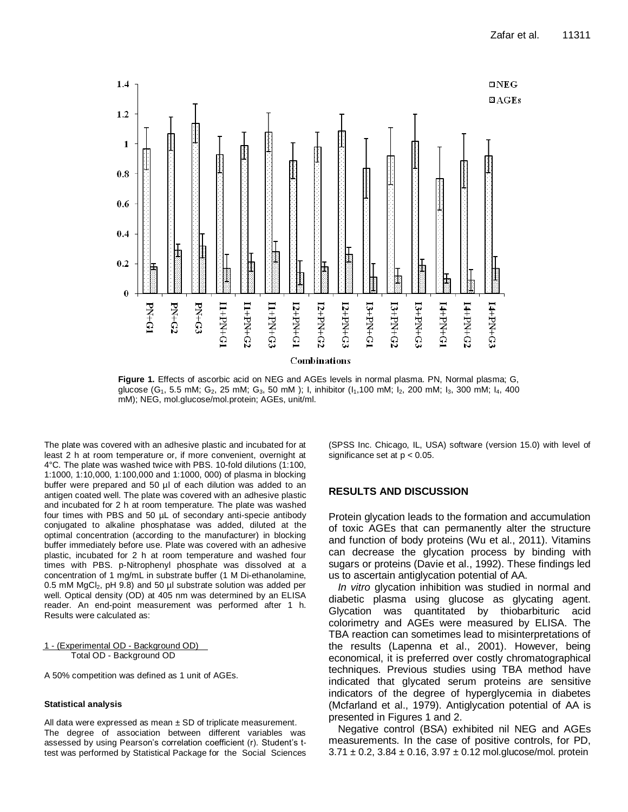

**Figure 1.** Effects of ascorbic acid on NEG and AGEs levels in normal plasma. PN, Normal plasma; G, glucose (G<sub>1</sub>, 5.5 mM; G<sub>2</sub>, 25 mM; G<sub>3</sub>, 50 mM); I, inhibitor (I<sub>1</sub>,100 mM; I<sub>2</sub>, 200 mM; I<sub>3</sub>, 300 mM; I<sub>4</sub>, 400 mM); NEG, mol.glucose/mol.protein; AGEs, unit/ml.

The plate was covered with an adhesive plastic and incubated for at least 2 h at room temperature or, if more convenient, overnight at 4°C. The plate was washed twice with PBS. 10-fold dilutions (1:100, 1:1000, 1:10,000, 1:100,000 and 1:1000, 000) of plasma in blocking buffer were prepared and 50 µl of each dilution was added to an antigen coated well. The plate was covered with an adhesive plastic and incubated for 2 h at room temperature. The plate was washed four times with PBS and 50 µL of secondary anti-specie antibody conjugated to alkaline phosphatase was added, diluted at the optimal concentration (according to the manufacturer) in blocking buffer immediately before use. Plate was covered with an adhesive plastic, incubated for 2 h at room temperature and washed four times with PBS. p-Nitrophenyl phosphate was dissolved at a concentration of 1 mg/mL in substrate buffer (1 M Di-ethanolamine, 0.5 mM MgCl<sub>2</sub>, pH 9.8) and 50 µl substrate solution was added per well. Optical density (OD) at 405 nm was determined by an ELISA reader. An end-point measurement was performed after 1 h. Results were calculated as:

1 - (Experimental OD - Background OD) Total OD - Background OD

A 50% competition was defined as 1 unit of AGEs.

## **Statistical analysis**

All data were expressed as mean  $\pm$  SD of triplicate measurement. The degree of association between different variables was assessed by using Pearson's correlation coefficient (r). Student's ttest was performed by Statistical Package for the Social Sciences (SPSS Inc. Chicago, IL, USA) software (version 15.0) with level of significance set at p < 0.05.

### **RESULTS AND DISCUSSION**

Protein glycation leads to the formation and accumulation of toxic AGEs that can permanently alter the structure and function of body proteins (Wu et al., 2011). Vitamins can decrease the glycation process by binding with sugars or proteins (Davie et al., 1992). These findings led us to ascertain antiglycation potential of AA.

*In vitro* glycation inhibition was studied in normal and diabetic plasma using glucose as glycating agent. Glycation was quantitated by thiobarbituric acid colorimetry and AGEs were measured by ELISA. The TBA reaction can sometimes lead to misinterpretations of the results (Lapenna et al., 2001). However, being economical, it is preferred over costly chromatographical techniques. Previous studies using TBA method have indicated that glycated serum proteins are sensitive indicators of the degree of hyperglycemia in diabetes (Mcfarland et al., 1979). Antiglycation potential of AA is presented in Figures 1 and 2.

Negative control (BSA) exhibited nil NEG and AGEs measurements. In the case of positive controls, for PD,  $3.71 \pm 0.2$ ,  $3.84 \pm 0.16$ ,  $3.97 \pm 0.12$  mol.glucose/mol. protein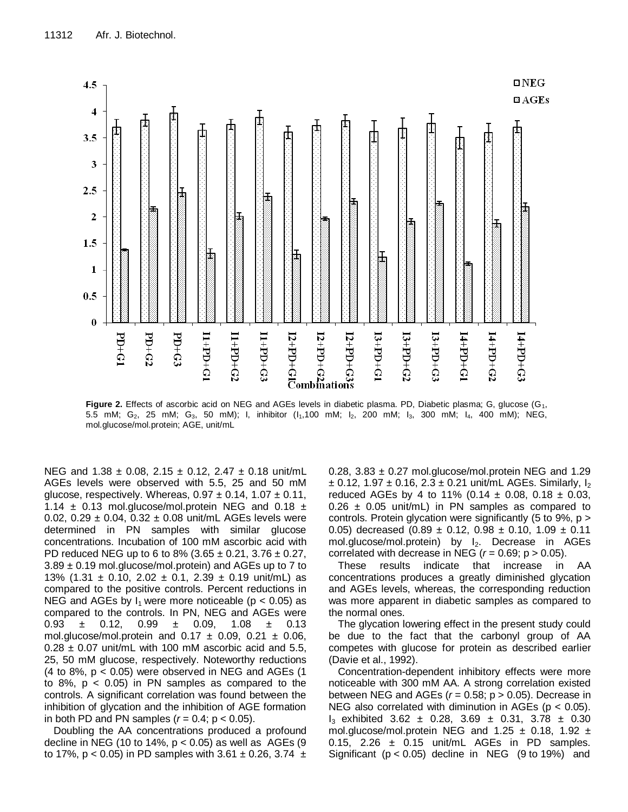

Figure 2. Effects of ascorbic acid on NEG and AGEs levels in diabetic plasma. PD, Diabetic plasma; G, glucose (G<sub>1</sub>, 5.5 mM; G<sub>2</sub>, 25 mM; G<sub>3</sub>, 50 mM); I, inhibitor (I<sub>1</sub>,100 mM; I<sub>2</sub>, 200 mM; I<sub>3</sub>, 300 mM; I<sub>4</sub>, 400 mM); NEG, mol.glucose/mol.protein; AGE, unit/mL

NEG and  $1.38 \pm 0.08$ ,  $2.15 \pm 0.12$ ,  $2.47 \pm 0.18$  unit/mL AGEs levels were observed with 5.5, 25 and 50 mM glucose, respectively. Whereas,  $0.97 \pm 0.14$ ,  $1.07 \pm 0.11$ , 1.14  $\pm$  0.13 mol.glucose/mol.protein NEG and 0.18  $\pm$ 0.02, 0.29  $\pm$  0.04, 0.32  $\pm$  0.08 unit/mL AGEs levels were determined in PN samples with similar glucose concentrations. Incubation of 100 mM ascorbic acid with PD reduced NEG up to 6 to 8% (3.65  $\pm$  0.21, 3.76  $\pm$  0.27,  $3.89 \pm 0.19$  mol.glucose/mol.protein) and AGEs up to 7 to 13% (1.31  $\pm$  0.10, 2.02  $\pm$  0.1, 2.39  $\pm$  0.19 unit/mL) as compared to the positive controls. Percent reductions in NEG and AGEs by  $I_1$  were more noticeable (p < 0.05) as compared to the controls. In PN, NEG and AGEs were 0.93  $\pm$  0.12, 0.99  $\pm$  0.09, 1.08  $\pm$  0.13 mol.glucose/mol.protein and  $0.17 \pm 0.09$ ,  $0.21 \pm 0.06$ ,  $0.28 \pm 0.07$  unit/mL with 100 mM ascorbic acid and 5.5, 25, 50 mM glucose, respectively. Noteworthy reductions (4 to 8%,  $p < 0.05$ ) were observed in NEG and AGEs (1 to  $8\%$ ,  $p < 0.05$ ) in PN samples as compared to the controls. A significant correlation was found between the inhibition of glycation and the inhibition of AGE formation in both PD and PN samples  $(r = 0.4; p < 0.05)$ .

Doubling the AA concentrations produced a profound decline in NEG (10 to 14%,  $p < 0.05$ ) as well as AGEs (9 to 17%,  $p < 0.05$ ) in PD samples with 3.61  $\pm$  0.26, 3.74  $\pm$  0.28, 3.83  $\pm$  0.27 mol.glucose/mol.protein NEG and 1.29  $\pm$  0.12, 1.97  $\pm$  0.16, 2.3  $\pm$  0.21 unit/mL AGEs. Similarly,  $I_2$ reduced AGEs by 4 to 11% (0.14  $\pm$  0.08, 0.18  $\pm$  0.03,  $0.26 \pm 0.05$  unit/mL) in PN samples as compared to controls. Protein glycation were significantly (5 to 9%, p > 0.05) decreased  $(0.89 \pm 0.12, 0.98 \pm 0.10, 1.09 \pm 0.11)$ mol.glucose/mol.protein) by l<sub>2</sub>. Decrease in AGEs correlated with decrease in NEG ( $r = 0.69$ ;  $p > 0.05$ ).

These results indicate that increase in AA concentrations produces a greatly diminished glycation and AGEs levels, whereas, the corresponding reduction was more apparent in diabetic samples as compared to the normal ones.

The glycation lowering effect in the present study could be due to the fact that the carbonyl group of AA competes with glucose for protein as described earlier (Davie et al., 1992).

Concentration-dependent inhibitory effects were more noticeable with 300 mM AA. A strong correlation existed between NEG and AGEs  $(r = 0.58; p > 0.05)$ . Decrease in NEG also correlated with diminution in AGEs ( $p < 0.05$ ).  $I_3$  exhibited 3.62  $\pm$  0.28, 3.69  $\pm$  0.31, 3.78  $\pm$  0.30 mol.glucose/mol.protein NEG and  $1.25 \pm 0.18$ ,  $1.92 \pm 1.05$ 0.15, 2.26  $\pm$  0.15 unit/mL AGEs in PD samples. Significant  $(p < 0.05)$  decline in NEG  $(9 \text{ to } 19\%)$  and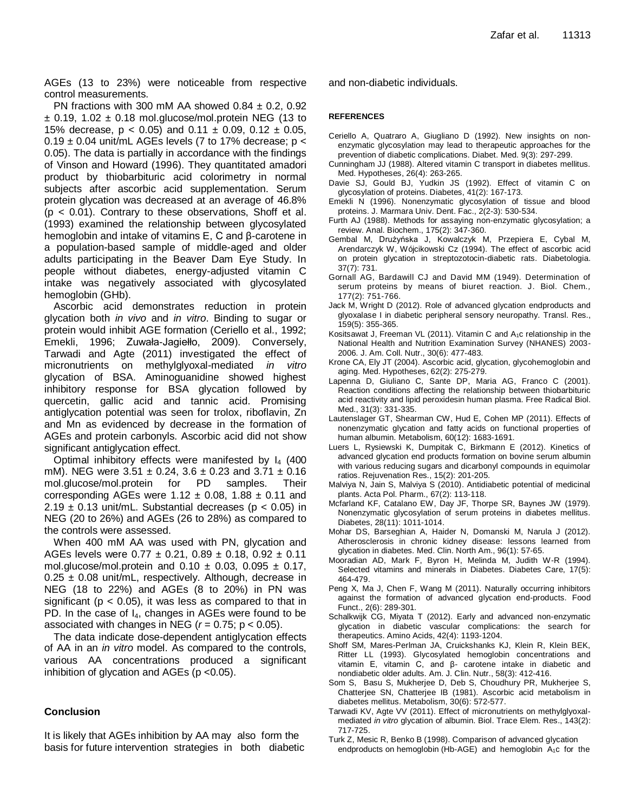AGEs (13 to 23%) were noticeable from respective control measurements.

PN fractions with 300 mM AA showed  $0.84 \pm 0.2$ , 0.92  $±$  0.19, 1.02  $±$  0.18 mol.glucose/mol.protein NEG (13 to 15% decrease,  $p < 0.05$ ) and  $0.11 \pm 0.09$ ,  $0.12 \pm 0.05$ ,  $0.19 \pm 0.04$  unit/mL AGEs levels (7 to 17% decrease; p < 0.05). The data is partially in accordance with the findings of Vinson and Howard (1996). They quantitated amadori product by thiobarbituric acid colorimetry in normal subjects after ascorbic acid supplementation. Serum protein glycation was decreased at an average of 46.8%  $(p < 0.01)$ . Contrary to these observations, Shoff et al. (1993) examined the relationship between glycosylated hemoglobin and intake of vitamins E, C and β-carotene in a population-based sample of middle-aged and older adults participating in the Beaver Dam Eye Study. In people without diabetes, energy-adjusted vitamin C intake was negatively associated with glycosylated hemoglobin (GHb).

Ascorbic acid demonstrates reduction in protein glycation both *in vivo* and *in vitro*. Binding to sugar or protein would inhibit AGE formation (Ceriello et al., 1992; [Emekli, 1996; Zuwała-Jagiełło, 2009\).](http://www.ncbi.nlm.nih.gov/pubmed?term=%22Emekli%20N%22%5BAuthor%5D) Conversely, [Tarwadi and Agte \(2011\) in](http://www.ncbi.nlm.nih.gov/pubmed?term=%22Tarwadi%20KV%22%5BAuthor%5D)vestigated the effect of micronutrients on methylglyoxal-mediated *in vitro* glycation of BSA. Aminoguanidine showed highest inhibitory response for BSA glycation followed by quercetin, gallic acid and tannic acid. Promising antiglycation potential was seen for trolox, riboflavin, Zn and Mn as evidenced by decrease in the formation of AGEs and protein carbonyls. Ascorbic acid did not show significant antiglycation effect.

Optimal inhibitory effects were manifested by  $I_4$  (400 mM). NEG were  $3.51 \pm 0.24$ ,  $3.6 \pm 0.23$  and  $3.71 \pm 0.16$ mol.glucose/mol.protein for PD samples. Their corresponding AGEs were  $1.12 \pm 0.08$ ,  $1.88 \pm 0.11$  and 2.19  $\pm$  0.13 unit/mL. Substantial decreases ( $p < 0.05$ ) in NEG (20 to 26%) and AGEs (26 to 28%) as compared to the controls were assessed.

When 400 mM AA was used with PN, glycation and AGEs levels were  $0.77 \pm 0.21$ ,  $0.89 \pm 0.18$ ,  $0.92 \pm 0.11$ mol.glucose/mol.protein and  $0.10 \pm 0.03$ ,  $0.095 \pm 0.17$ ,  $0.25 \pm 0.08$  unit/mL, respectively. Although, decrease in NEG (18 to 22%) and AGEs (8 to 20%) in PN was significant ( $p < 0.05$ ), it was less as compared to that in PD. In the case of  $I_4$ , changes in AGEs were found to be associated with changes in NEG  $(r = 0.75; p < 0.05)$ .

The data indicate dose-dependent antiglycation effects of AA in an *in vitro* model. As compared to the controls, various AA concentrations produced a significant inhibition of glycation and AGEs ( $p$  <0.05).

## **Conclusion**

It is likely that AGEs inhibition by AA may also form the basis for future intervention strategies in both diabetic and non-diabetic individuals.

#### **REFERENCES**

- Ceriello A, Quatraro A, Giugliano D (1992). New insights on nonenzymatic glycosylation may lead to therapeutic approaches for the prevention of diabetic complications. Diabet. Med. 9(3): 297-299.
- Cunningham JJ (1988). Altered vitamin C transport in diabetes mellitus. Med. Hypotheses, 26(4): 263-265.
- Davie SJ, Gould BJ, Yudkin JS (1992). Effect of vitamin C on glycosylation of proteins. Diabetes, 41(2): 167-173.
- [Emekli N](http://www.ncbi.nlm.nih.gov/pubmed?term=%22Emekli%20N%22%5BAuthor%5D) (1996). Nonenzymatic glycosylation of tissue and blood proteins. J. [Marmara Univ.](http://www.ncbi.nlm.nih.gov/pubmed/9569811) Dent. Fac., 2(2-3): 530-534.
- Furth AJ (1988). Methods for assaying non-enzymatic glycosylation; a review. Anal. Biochem., 175(2): 347-360.
- [Gembal](http://www.springerlink.com/content/?Author=M.+Gembal) M, [Drużyńska](http://www.springerlink.com/content/?Author=J.+Dru%c5%bcy%c5%84ska) J, [Kowalczyk](http://www.springerlink.com/content/?Author=M.+Kowalczyk) M, [Przepiera](http://www.springerlink.com/content/?Author=E.+Przepiera) E, [Cybal](http://www.springerlink.com/content/?Author=M.+Cybal) M, [Arendarczyk](http://www.springerlink.com/content/?Author=W.+Arendarczyk) W, [Wójcikowski](http://www.springerlink.com/content/?Author=Cz.+W%c3%b3jcikowski) Cz (1994). [The effect of ascorbic acid](http://www.springerlink.com/content/x0161m21r1rh41l1/)  [on protein glycation in streptozotocin-diabetic rats.](http://www.springerlink.com/content/x0161m21r1rh41l1/) [Diabetologia.](http://www.springerlink.com/content/0012-186x/) [37\(7\)](http://www.springerlink.com/content/0012-186x/37/7/): 731.
- Gornall AG, Bardawill CJ and David MM (1949). Determination of serum proteins by means of biuret reaction. J. Biol. Chem*.,* 177(2): 751-766.
- [Jack M,](http://www.ncbi.nlm.nih.gov/pubmed?term=%22Jack%20M%22%5BAuthor%5D) [Wright D](http://www.ncbi.nlm.nih.gov/pubmed?term=%22Wright%20D%22%5BAuthor%5D) (2012). Role of advanced glycation endproducts and glyoxalase I in diabetic peripheral sensory neuropathy. [Transl.](http://www.ncbi.nlm.nih.gov/pubmed/22500508) Res., 159(5): 355-365.
- [Kositsawat J,](http://www.ncbi.nlm.nih.gov/pubmed?term=%22Kositsawat%20J%22%5BAuthor%5D) [Freeman VL](http://www.ncbi.nlm.nih.gov/pubmed?term=%22Freeman%20VL%22%5BAuthor%5D) (2011). Vitamin C and A<sub>1</sub>c relationship in the National Health and Nutrition Examination Survey (NHANES) 2003- 2006. J. Am. Coll. [Nutr.,](http://www.ncbi.nlm.nih.gov/pubmed/22331682) 30(6): 477-483.
- [Krone CA,](http://www.ncbi.nlm.nih.gov/pubmed?term=%22Krone%20CA%22%5BAuthor%5D) [Ely JT](http://www.ncbi.nlm.nih.gov/pubmed?term=%22Ely%20JT%22%5BAuthor%5D) (2004). Ascorbic acid, glycation, glycohemoglobin and aging. Med. [Hypotheses,](http://www.ncbi.nlm.nih.gov/pubmed/14962639) 62(2): 275-279.
- Lapenna D, Giuliano C, Sante DP, Maria AG, Franco C (2001). Reaction conditions affecting the relationship between thiobarbituric acid reactivity and lipid peroxidesin human plasma. Free [Radical](http://www.sciencedirect.com/science/journal/08915849) Biol. [Med.](http://www.sciencedirect.com/science/journal/08915849), 31(3): 331-335.
- [Lautenslager GT,](http://www.ncbi.nlm.nih.gov/pubmed?term=%22Lautenslager%20GT%22%5BAuthor%5D) [Shearman CW,](http://www.ncbi.nlm.nih.gov/pubmed?term=%22Shearman%20CW%22%5BAuthor%5D) [Hud E,](http://www.ncbi.nlm.nih.gov/pubmed?term=%22Hud%20E%22%5BAuthor%5D) [Cohen MP](http://www.ncbi.nlm.nih.gov/pubmed?term=%22Cohen%20MP%22%5BAuthor%5D) (2011). Effects of nonenzymatic glycation and fatty acids on functional properties of human albumin[. Metabolism,](http://www.ncbi.nlm.nih.gov/pubmed/21632076) 60(12): 1683-1691.
- [Luers L,](http://www.ncbi.nlm.nih.gov/pubmed?term=%22Luers%20L%22%5BAuthor%5D) [Rysiewski K,](http://www.ncbi.nlm.nih.gov/pubmed?term=%22Rysiewski%20K%22%5BAuthor%5D) [Dumpitak C,](http://www.ncbi.nlm.nih.gov/pubmed?term=%22Dumpitak%20C%22%5BAuthor%5D) [Birkmann E](http://www.ncbi.nlm.nih.gov/pubmed?term=%22Birkmann%20E%22%5BAuthor%5D) (2012). Kinetics of advanced glycation end products formation on bovine serum albumin with various reducing sugars and dicarbonyl compounds in equimolar ratios[. Rejuvenation Res.,](http://www.ncbi.nlm.nih.gov/pubmed/22533432) 15(2): 201-205.
- [Malviya N,](http://www.ncbi.nlm.nih.gov/pubmed?term=%22Malviya%20N%22%5BAuthor%5D) [Jain](http://www.ncbi.nlm.nih.gov/pubmed?term=%22Jain%20S%22%5BAuthor%5D) S, [Malviya](http://www.ncbi.nlm.nih.gov/pubmed?term=%22Malviya%20S%22%5BAuthor%5D) S (2010). Antidiabetic potential of medicinal plants. [Acta Pol.](javascript:AL_get(this,%20) Pharm., 67(2): 113-118.
- Mcfarland KF, Catalano EW, Day JF, Thorpe SR, Baynes JW (1979). Nonenzymatic glycosylation of serum proteins in diabetes mellitus. Diabetes, 28(11): 1011-1014.
- [Mohar DS,](http://www.ncbi.nlm.nih.gov/pubmed?term=%22Mohar%20DS%22%5BAuthor%5D) [Barseghian A,](http://www.ncbi.nlm.nih.gov/pubmed?term=%22Barseghian%20A%22%5BAuthor%5D) [Haider N,](http://www.ncbi.nlm.nih.gov/pubmed?term=%22Haider%20N%22%5BAuthor%5D) [Domanski M,](http://www.ncbi.nlm.nih.gov/pubmed?term=%22Domanski%20M%22%5BAuthor%5D) [Narula J](http://www.ncbi.nlm.nih.gov/pubmed?term=%22Narula%20J%22%5BAuthor%5D) (2012). Atherosclerosis in chronic kidney disease: lessons learned from glycation in diabetes. Med. Clin. [North Am.,](http://www.ncbi.nlm.nih.gov/pubmed/22391251) 96(1): 57-65.
- [Mooradian](http://care.diabetesjournals.org/search?author1=Arshag+D+Mooradian&sortspec=date&submit=Submit) AD, [Mark F,](http://care.diabetesjournals.org/search?author1=Mark+Failla&sortspec=date&submit=Submit) [Byron H,](http://care.diabetesjournals.org/search?author1=Byron+Hoogwerf&sortspec=date&submit=Submit) [Melinda M,](http://care.diabetesjournals.org/search?author1=Melinda+Maryniuk&sortspec=date&submit=Submit) [Judith W-R](http://care.diabetesjournals.org/search?author1=Judith+Wylie-Rosett&sortspec=date&submit=Submit) (1994). Selected vitamins and minerals in Diabetes. Diabetes Care, 17(5): 464-479.
- [Peng X,](http://www.ncbi.nlm.nih.gov/pubmed?term=%22Peng%20X%22%5BAuthor%5D) [Ma J,](http://www.ncbi.nlm.nih.gov/pubmed?term=%22Ma%20J%22%5BAuthor%5D) [Chen F,](http://www.ncbi.nlm.nih.gov/pubmed?term=%22Chen%20F%22%5BAuthor%5D) [Wang M](http://www.ncbi.nlm.nih.gov/pubmed?term=%22Wang%20M%22%5BAuthor%5D) (2011). Naturally occurring inhibitors against the formation of advanced glycation end-products. [Food](http://www.ncbi.nlm.nih.gov/pubmed/21779567)  [Funct.,](http://www.ncbi.nlm.nih.gov/pubmed/21779567) 2(6): 289-301.
- [Schalkwijk CG,](http://www.ncbi.nlm.nih.gov/pubmed?term=%22Schalkwijk%20CG%22%5BAuthor%5D) [Miyata T](http://www.ncbi.nlm.nih.gov/pubmed?term=%22Miyata%20T%22%5BAuthor%5D) (2012). Early and advanced non-enzymatic glycation in diabetic vascular complications: the search for therapeutics. [Amino Acids,](http://www.ncbi.nlm.nih.gov/pubmed/20960212) 42(4): 1193-1204.
- Shoff SM, Mares-Perlman JA, Cruickshanks KJ, Klein R, Klein BEK, Ritter LL (1993). Glycosylated hemoglobin concentrations and vitamin E, vitamin C, and β- carotene intake in diabetic and nondiabetic older adults. Am. J. Clin. Nutr., 58(3): 412-416.
- Som S, Basu S, Mukherjee D, Deb S, Choudhury PR, Mukherjee S, Chatterjee SN, Chatterjee IB (1981). Ascorbic acid metabolism in diabetes mellitus. Metabolism, 30(6): 572-577.
- [Tarwadi KV,](http://www.ncbi.nlm.nih.gov/pubmed?term=%22Tarwadi%20KV%22%5BAuthor%5D) [Agte VV](http://www.ncbi.nlm.nih.gov/pubmed?term=%22Agte%20VV%22%5BAuthor%5D) (2011). Effect of micronutrients on methylglyoxalmediated *in vitro* glycation of albumin. Biol. [Trace Elem.](http://www.ncbi.nlm.nih.gov/pubmed/21165710) Res., 143(2): 717-725.
- [Turk Z,](http://www.ncbi.nlm.nih.gov/entrez/query.fcgi?db=pubmed&cmd=Search&itool=pubmed_AbstractPlus&term=%22Turk+Z%22%5BAuthor%5D) [Mesic](http://www.ncbi.nlm.nih.gov/entrez/query.fcgi?db=pubmed&cmd=Search&itool=pubmed_AbstractPlus&term=%22Mesic+R%22%5BAuthor%5D) R, [Benko B \(](http://www.ncbi.nlm.nih.gov/entrez/query.fcgi?db=pubmed&cmd=Search&itool=pubmed_AbstractPlus&term=%22Benko+B%22%5BAuthor%5D)1998). Comparison of advanced glycation endproducts on hemoglobin (Hb-AGE) and hemoglobin  $A_1c$  for the